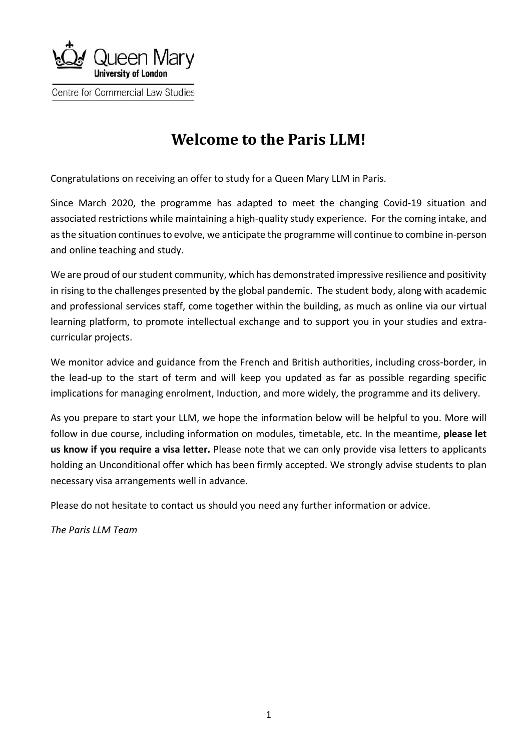

# **Welcome to the Paris LLM!**

Congratulations on receiving an offer to study for a Queen Mary LLM in Paris.

Since March 2020, the programme has adapted to meet the changing Covid-19 situation and associated restrictions while maintaining a high-quality study experience. For the coming intake, and as the situation continues to evolve, we anticipate the programme will continue to combine in-person and online teaching and study.

We are proud of our student community, which has demonstrated impressive resilience and positivity in rising to the challenges presented by the global pandemic. The student body, along with academic and professional services staff, come together within the building, as much as online via our virtual learning platform, to promote intellectual exchange and to support you in your studies and extracurricular projects.

We monitor advice and guidance from the French and British authorities, including cross-border, in the lead-up to the start of term and will keep you updated as far as possible regarding specific implications for managing enrolment, Induction, and more widely, the programme and its delivery.

As you prepare to start your LLM, we hope the information below will be helpful to you. More will follow in due course, including information on modules, timetable, etc. In the meantime, **please let us know if you require a visa letter.** Please note that we can only provide visa letters to applicants holding an Unconditional offer which has been firmly accepted. We strongly advise students to plan necessary visa arrangements well in advance.

Please do not hesitate to contact us should you need any further information or advice.

*The Paris LLM Team*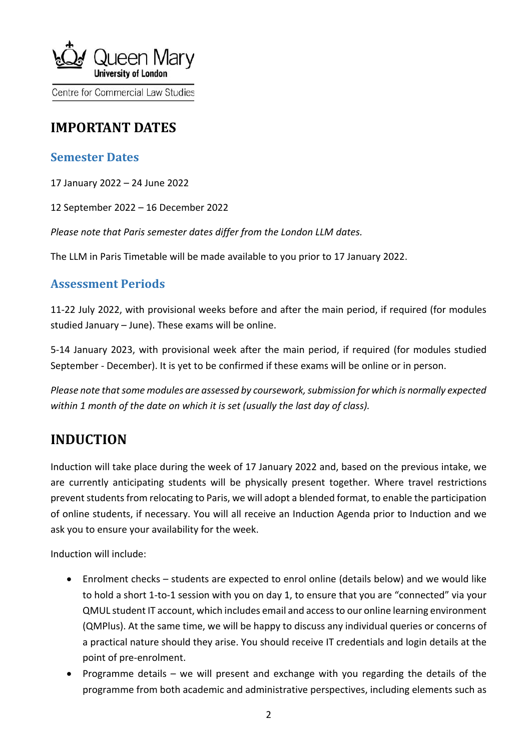

# **IMPORTANT DATES**

### **Semester Dates**

17 January 2022 – 24 June 2022

12 September 2022 – 16 December 2022

*Please note that Paris semester dates differ from the London LLM dates.*

The LLM in Paris Timetable will be made available to you prior to 17 January 2022.

#### **Assessment Periods**

11-22 July 2022, with provisional weeks before and after the main period, if required (for modules studied January – June). These exams will be online.

5-14 January 2023, with provisional week after the main period, if required (for modules studied September - December). It is yet to be confirmed if these exams will be online or in person.

*Please note that some modules are assessed by coursework, submission for which is normally expected within 1 month of the date on which it is set (usually the last day of class).* 

# **INDUCTION**

Induction will take place during the week of 17 January 2022 and, based on the previous intake, we are currently anticipating students will be physically present together. Where travel restrictions prevent students from relocating to Paris, we will adopt a blended format, to enable the participation of online students, if necessary. You will all receive an Induction Agenda prior to Induction and we ask you to ensure your availability for the week.

Induction will include:

- Enrolment checks students are expected to enrol online (details below) and we would like to hold a short 1-to-1 session with you on day 1, to ensure that you are "connected" via your QMUL student IT account, which includes email and access to our online learning environment (QMPlus). At the same time, we will be happy to discuss any individual queries or concerns of a practical nature should they arise. You should receive IT credentials and login details at the point of pre-enrolment.
- Programme details we will present and exchange with you regarding the details of the programme from both academic and administrative perspectives, including elements such as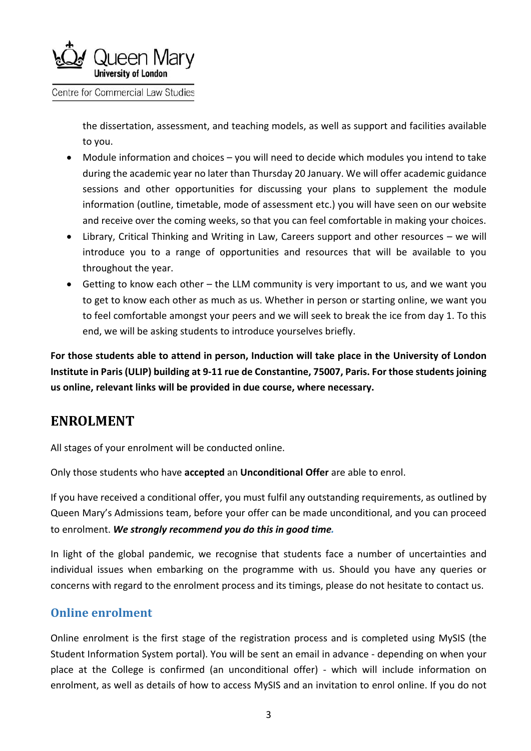

the dissertation, assessment, and teaching models, as well as support and facilities available to you.

- Module information and choices you will need to decide which modules you intend to take during the academic year no later than Thursday 20 January. We will offer academic guidance sessions and other opportunities for discussing your plans to supplement the module information (outline, timetable, mode of assessment etc.) you will have seen on our website and receive over the coming weeks, so that you can feel comfortable in making your choices.
- Library, Critical Thinking and Writing in Law, Careers support and other resources we will introduce you to a range of opportunities and resources that will be available to you throughout the year.
- Getting to know each other the LLM community is very important to us, and we want you to get to know each other as much as us. Whether in person or starting online, we want you to feel comfortable amongst your peers and we will seek to break the ice from day 1. To this end, we will be asking students to introduce yourselves briefly.

**For those students able to attend in person, Induction will take place in the University of London Institute in Paris (ULIP) building at 9-11 rue de Constantine, 75007, Paris. For those students joining us online, relevant links will be provided in due course, where necessary.**

## **ENROLMENT**

All stages of your enrolment will be conducted online.

Only those students who have **accepted** an **Unconditional Offer** are able to enrol.

If you have received a conditional offer, you must fulfil any outstanding requirements, as outlined by Queen Mary's Admissions team, before your offer can be made unconditional, and you can proceed to enrolment. *We strongly recommend you do this in good time.*

In light of the global pandemic, we recognise that students face a number of uncertainties and individual issues when embarking on the programme with us. Should you have any queries or concerns with regard to the enrolment process and its timings, please do not hesitate to contact us.

### **Online enrolment**

Online enrolment is the first stage of the registration process and is completed using MySIS (the Student Information System portal). You will be sent an email in advance - depending on when your place at the College is confirmed (an unconditional offer) - which will include information on enrolment, as well as details of how to access MySIS and an invitation to enrol online. If you do not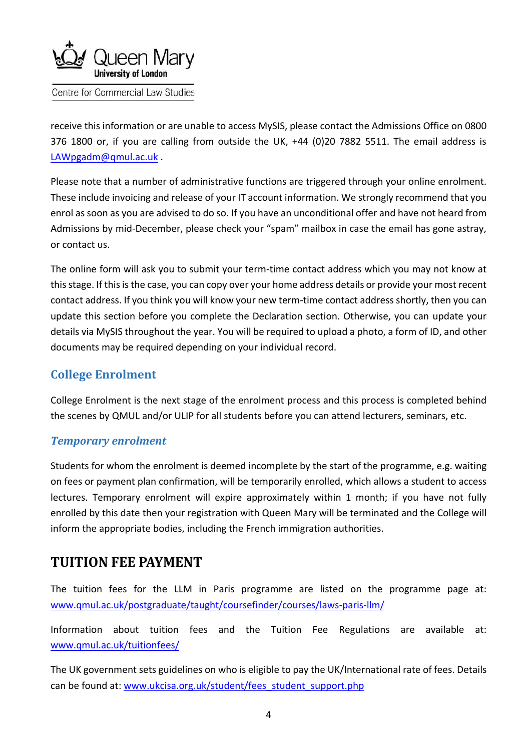

receive this information or are unable to access MySIS, please contact the Admissions Office on 0800 376 1800 or, if you are calling from outside the UK, +44 (0)20 7882 5511. The email address is [LAWpgadm@qmul.ac.uk](mailto:LAWpgadm@qmul.ac.uk) .

Please note that a number of administrative functions are triggered through your online enrolment. These include invoicing and release of your IT account information. We strongly recommend that you enrol as soon as you are advised to do so. If you have an unconditional offer and have not heard from Admissions by mid-December, please check your "spam" mailbox in case the email has gone astray, or contact us.

The online form will ask you to submit your term-time contact address which you may not know at this stage. If this is the case, you can copy over your home address details or provide your most recent contact address. If you think you will know your new term-time contact address shortly, then you can update this section before you complete the Declaration section. Otherwise, you can update your details via MySIS throughout the year. You will be required to upload a photo, a form of ID, and other documents may be required depending on your individual record.

### **College Enrolment**

College Enrolment is the next stage of the enrolment process and this process is completed behind the scenes by QMUL and/or ULIP for all students before you can attend lecturers, seminars, etc.

#### *Temporary enrolment*

Students for whom the enrolment is deemed incomplete by the start of the programme, e.g. waiting on fees or payment plan confirmation, will be temporarily enrolled, which allows a student to access lectures. Temporary enrolment will expire approximately within 1 month; if you have not fully enrolled by this date then your registration with Queen Mary will be terminated and the College will inform the appropriate bodies, including the French immigration authorities.

## **TUITION FEE PAYMENT**

The tuition fees for the LLM in Paris programme are listed on the programme page at: [www.qmul.ac.uk/postgraduate/taught/coursefinder/courses/laws-paris-llm/](http://www.qmul.ac.uk/postgraduate/taught/coursefinder/courses/laws-paris-llm/)

Information about tuition fees and the Tuition Fee Regulations are available at: [www.qmul.ac.uk/tuitionfees/](http://www.qmul.ac.uk/tuitionfees/) 

The UK government sets guidelines on who is eligible to pay the UK/International rate of fees. Details can be found at: [www.ukcisa.org.uk/student/fees\\_student\\_support.php](http://www.ukcisa.org.uk/student/fees_student_support.php)